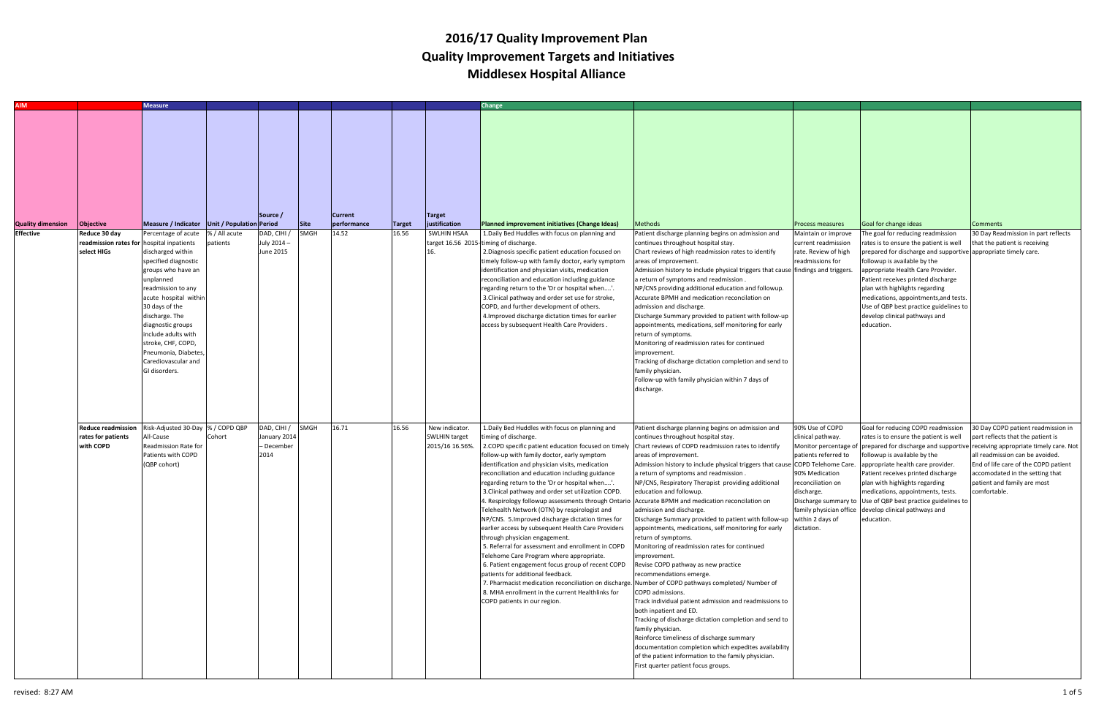| <b>AIM</b>                                   |                                                                                        | <b>Measure</b>                                                                                                                                                                                                                                                                                                                                                            |                           |                                                        |                            |                                        |                        |                                                             | Change                                                                                                                                                                                                                                                                                                                                                                                                                                                                                                                                                                                                                                                                                                                                                                                                                                                                                                                                                                                                                                                                            |                                                                                                                                                                                                                                                                                                                                                                                                                                                                                                                                                                                                                                                                                                                                                                                                                                                                                                                                                                                                                                                                   |                                                                                                                                                                                                     |                                                                                                                                                                                                                                                                                                                                                                                                                                                       |                                                                                                                                                                                                                                                                                                                      |
|----------------------------------------------|----------------------------------------------------------------------------------------|---------------------------------------------------------------------------------------------------------------------------------------------------------------------------------------------------------------------------------------------------------------------------------------------------------------------------------------------------------------------------|---------------------------|--------------------------------------------------------|----------------------------|----------------------------------------|------------------------|-------------------------------------------------------------|-----------------------------------------------------------------------------------------------------------------------------------------------------------------------------------------------------------------------------------------------------------------------------------------------------------------------------------------------------------------------------------------------------------------------------------------------------------------------------------------------------------------------------------------------------------------------------------------------------------------------------------------------------------------------------------------------------------------------------------------------------------------------------------------------------------------------------------------------------------------------------------------------------------------------------------------------------------------------------------------------------------------------------------------------------------------------------------|-------------------------------------------------------------------------------------------------------------------------------------------------------------------------------------------------------------------------------------------------------------------------------------------------------------------------------------------------------------------------------------------------------------------------------------------------------------------------------------------------------------------------------------------------------------------------------------------------------------------------------------------------------------------------------------------------------------------------------------------------------------------------------------------------------------------------------------------------------------------------------------------------------------------------------------------------------------------------------------------------------------------------------------------------------------------|-----------------------------------------------------------------------------------------------------------------------------------------------------------------------------------------------------|-------------------------------------------------------------------------------------------------------------------------------------------------------------------------------------------------------------------------------------------------------------------------------------------------------------------------------------------------------------------------------------------------------------------------------------------------------|----------------------------------------------------------------------------------------------------------------------------------------------------------------------------------------------------------------------------------------------------------------------------------------------------------------------|
| <b>Quality dimension</b><br><b>Effective</b> | Objective<br>Reduce 30 day<br>readmission rates for hospital inpatients<br>select HIGs | Measure / Indicator   Unit / Population Period<br>Percentage of acute<br>discharged within<br>specified diagnostic<br>groups who have an<br>unplanned<br>readmission to any<br>acute hospital within<br>30 days of the<br>discharge. The<br>diagnostic groups<br>include adults with<br>stroke, CHF, COPD,<br>Pneumonia, Diabetes<br>Carediovascular and<br>GI disorders. | % / All acute<br>patients | Source /<br>)AD, CIHI /<br>July 2014 -<br>June 2015    | <b>Site</b><br><b>SMGH</b> | <b>Current</b><br>performance<br>14.52 | <b>Target</b><br>16.56 | <b>Target</b><br>justification<br><b>SWLHIN HSAA</b><br>16. | Planned improvement initiatives (Change Ideas)<br>1. Daily Bed Huddles with focus on planning and<br>target 16.56 2015-timing of discharge.<br>2. Diagnosis specific patient education focused on<br>imely follow-up with family doctor, early symptom<br>identification and physician visits, medication<br>reconciliation and education including guidance<br>regarding return to the 'Dr or hospital when'.<br>3. Clinical pathway and order set use for stroke,<br>COPD, and further development of others.<br>4. Improved discharge dictation times for earlier<br>access by subsequent Health Care Providers.                                                                                                                                                                                                                                                                                                                                                                                                                                                               | Methods<br>Patient discharge planning begins on admission and<br>continues throughout hospital stay.<br>Chart reviews of high readmission rates to identify<br>areas of improvement.<br>Admission history to include physical triggers that cause findings and triggers.<br>a return of symptoms and readmission.<br>NP/CNS providing additional education and followup.<br>Accurate BPMH and medication reconcilation on<br>admission and discharge.<br>Discharge Summary provided to patient with follow-up<br>appointments, medications, self monitoring for early<br>return of symptoms.<br>Monitoring of readmission rates for continued<br>mprovement.<br>Tracking of discharge dictation completion and send to<br>family physician.<br>Follow-up with family physician within 7 days of<br>discharge.                                                                                                                                                                                                                                                     | <b>Process measures</b><br>Maintain or improve<br>current readmission<br>rate. Review of high<br>readmissions for                                                                                   | Goal for change ideas<br>The goal for reducing readmission<br>rates is to ensure the patient is well<br>prepared for discharge and supportive appropriate timely care.<br>followup is available by the<br>appropriate Health Care Provider.<br>Patient receives printed discharge<br>plan with highlights regarding<br>medications, appointments, and tests.<br>Use of QBP best practice guidelines to<br>develop clinical pathways and<br>education. | <b>Comments</b><br>30 Day Readmission in part reflects<br>that the patient is receiving                                                                                                                                                                                                                              |
|                                              | <b>Reduce readmission</b><br>rates for patients<br>with COPD                           | Risk-Adjusted 30-Day % / COPD QBP<br>All-Cause<br>Readmission Rate for<br>Patients with COPD<br>(QBP cohort)                                                                                                                                                                                                                                                              | Cohort                    | DAD, CIHI / SMGH<br>January 2014<br>- December<br>2014 |                            | 16.71                                  | 16.56                  | New indicator.<br><b>SWLHIN target</b><br>2015/16 16.56%    | 1. Daily Bed Huddles with focus on planning and<br>timing of discharge.<br>2. COPD specific patient education focused on timely<br>follow-up with family doctor, early symptom<br>dentification and physician visits, medication<br>reconciliation and education including guidance<br>egarding return to the 'Dr or hospital when'.<br>3. Clinical pathway and order set utilization COPD.<br>1. Respirology followup assessments through Ontario Accurate BPMH and medication reconcilation on<br>Telehealth Network (OTN) by respirologist and<br>NP/CNS. 5. Improved discharge dictation times for<br>earlier access by subsequent Health Care Providers<br>through physician engagement.<br>5. Referral for assessment and enrollment in COPD<br>Telehome Care Program where appropriate.<br>6. Patient engagement focus group of recent COPD<br>patients for additional feedback.<br>7. Pharmacist medication reconciliation on discharge. Number of COPD pathways completed/ Number of<br>8. MHA enrollment in the current Healthlinks for<br>COPD patients in our region. | Patient discharge planning begins on admission and<br>continues throughout hospital stay.<br>Chart reviews of COPD readmission rates to identify<br>areas of improvement.<br>Admission history to include physical triggers that cause<br>a return of symptoms and readmission.<br>NP/CNS, Respiratory Therapist providing additional<br>education and followup.<br>admission and discharge.<br>Discharge Summary provided to patient with follow-up<br>appointments, medications, self monitoring for early<br>return of symptoms.<br>Monitoring of readmission rates for continued<br>improvement.<br>Revise COPD pathway as new practice<br>recommendations emerge.<br>COPD admissions.<br>Track individual patient admission and readmissions to<br>both inpatient and ED.<br>Tracking of discharge dictation completion and send to<br>family physician.<br>Reinforce timeliness of discharge summary<br>documentation completion which expedites availability<br>of the patient information to the family physician.<br>First quarter patient focus groups. | 90% Use of COPD<br>clinical pathway.<br>Monitor percentage of<br>patients referred to<br>COPD Telehome Care.<br>90% Medication<br>reconciliation on<br>discharge.<br>within 2 days of<br>dictation. | Goal for reducing COPD readmission<br>rates is to ensure the patient is well<br>followup is available by the<br>appropriate health care provider.<br>Patient receives printed discharge<br>plan with highlights regarding<br>medications, appointments, tests.<br>Discharge summary to Use of QBP best practice guidelines to<br>family physician office develop clinical pathways and<br>education.                                                  | 30 Day COPD patient readmission in<br>part reflects that the patient is<br>prepared for discharge and supportive receiving appropriate timely care. Not<br>all readmission can be avoided.<br>End of life care of the COPD patient<br>accomodated in the setting that<br>patient and family are most<br>comfortable. |

## 2016/17 Quality Improvement Plan Quality Improvement Targets and InitiativesMiddlesex Hospital Alliance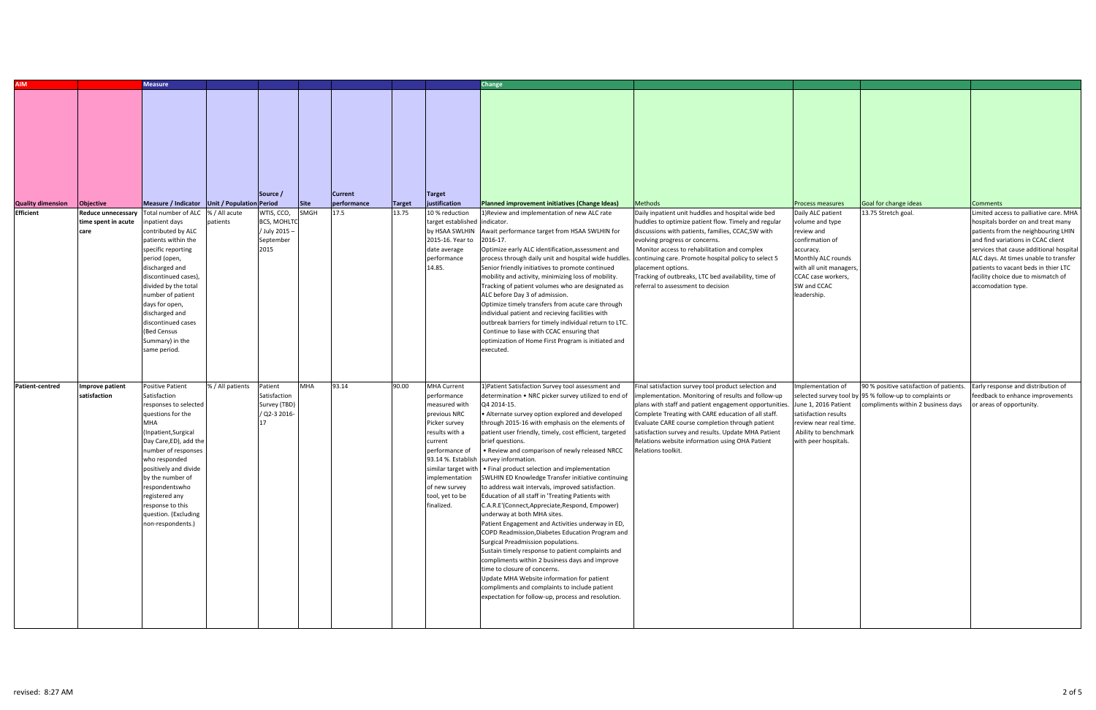| <b>AIM</b>                                   |                                                               | <b>Measure</b>                                                                                                                                                                                                                                                                                                                                                                            |                  |                                                                                   |              |                                       |                        |                                                                                                                                                                                                                              | Change                                                                                                                                                                                                                                                                                                                                                                                                                                                                                                                                                                                                                                                                                                                                                                                                                                                                                                                                                                                                                                                                                                                                                   |                                                                                                                                                                                                                                                                                                                                                                                                                                                  |                                                                                                                                                                                                            |                                                                                                                  |                                                                                                                                                                                                                                                                                                                                                                      |
|----------------------------------------------|---------------------------------------------------------------|-------------------------------------------------------------------------------------------------------------------------------------------------------------------------------------------------------------------------------------------------------------------------------------------------------------------------------------------------------------------------------------------|------------------|-----------------------------------------------------------------------------------|--------------|---------------------------------------|------------------------|------------------------------------------------------------------------------------------------------------------------------------------------------------------------------------------------------------------------------|----------------------------------------------------------------------------------------------------------------------------------------------------------------------------------------------------------------------------------------------------------------------------------------------------------------------------------------------------------------------------------------------------------------------------------------------------------------------------------------------------------------------------------------------------------------------------------------------------------------------------------------------------------------------------------------------------------------------------------------------------------------------------------------------------------------------------------------------------------------------------------------------------------------------------------------------------------------------------------------------------------------------------------------------------------------------------------------------------------------------------------------------------------|--------------------------------------------------------------------------------------------------------------------------------------------------------------------------------------------------------------------------------------------------------------------------------------------------------------------------------------------------------------------------------------------------------------------------------------------------|------------------------------------------------------------------------------------------------------------------------------------------------------------------------------------------------------------|------------------------------------------------------------------------------------------------------------------|----------------------------------------------------------------------------------------------------------------------------------------------------------------------------------------------------------------------------------------------------------------------------------------------------------------------------------------------------------------------|
| <b>Quality dimension</b><br><b>Efficient</b> | Objective<br>Reduce unnecessar<br>time spent in acute<br>care | Measure / Indicator Unit / Population Period<br>Total number of ALC  % / All acute<br>patient days<br>contributed by ALC<br>patients within the<br>specific reporting<br>period (open,<br>discharged and<br>discontinued cases),<br>divided by the total<br>number of patient<br>days for open,<br>discharged and<br>discontinued cases<br>(Bed Census<br>Summary) in the<br>same period. | patients         | Source /<br>WTIS, CCO,<br><b>BCS, MOHLTC</b><br>/ July 2015-<br>September<br>2015 | Site<br>SMGH | <b>Current</b><br>performance<br>17.5 | <b>Target</b><br>13.75 | <b>Target</b><br>justification<br>10 % reduction<br>target established<br>by HSAA SWLHIN<br>2015-16. Year to<br>date average<br>performance<br>14.85.                                                                        | Planned improvement initiatives (Change Ideas)<br>1) Review and implementation of new ALC rate<br>indicator.<br>Await performance target from HSAA SWLHIN for<br>2016-17.<br>Optimize early ALC identification, assessment and<br>process through daily unit and hospital wide huddles<br>Senior friendly initiatives to promote continued<br>mobility and activity, minimizing loss of mobility.<br>Tracking of patient volumes who are designated as<br>ALC before Day 3 of admission.<br>Optimize timely transfers from acute care through<br>individual patient and recieving facilities with<br>outbreak barriers for timely individual return to LTC.<br>Continue to liase with CCAC ensuring that<br>optimization of Home First Program is initiated and<br>executed.                                                                                                                                                                                                                                                                                                                                                                             | <b>Methods</b><br>Daily inpatient unit huddles and hospital wide bed<br>huddles to optimize patient flow. Timely and regular<br>discussions with patients, families, CCAC, SW with<br>evolving progress or concerns.<br>Monitor access to rehabilitation and complex<br>continuing care. Promote hospital policy to select 5<br>placement options.<br>Tracking of outbreaks, LTC bed availability, time of<br>referral to assessment to decision | Process measures<br>Daily ALC patient<br>volume and type<br>review and<br>confirmation of<br>accuracy.<br>Monthly ALC rounds<br>with all unit managers<br>CCAC case workers,<br>SW and CCAC<br>leadership. | Goal for change ideas<br>13.75 Stretch goal.                                                                     | <b>Comments</b><br>Limited access to palliative care. MHA<br>hospitals border on and treat many<br>patients from the neighbouring LHIN<br>and find variations in CCAC client<br>services that cause additional hospital<br>ALC days. At times unable to transfer<br>patients to vacant beds in thier LTC<br>facility choice due to mismatch of<br>accomodation type. |
| Patient-centred                              | <b>Improve patient</b><br>satisfaction                        | <b>Positive Patient</b><br>Satisfaction<br>responses to selected<br>questions for the<br><b>MHA</b><br>Inpatient, Surgical)<br>Day Care, ED), add the<br>number of responses<br>who responded<br>positively and divide<br>by the number of<br>respondentswho<br>registered any<br>response to this<br>question. (Excluding<br>non-respondents.)                                           | % / All patients | Patient<br>Satisfaction<br>Survey (TBD)<br>/ Q2-3 2016-                           | <b>MHA</b>   | 93.14                                 | 90.00                  | <b>MHA Current</b><br>performance<br>measured with<br>previous NRC<br>Picker survey<br>results with a<br>current<br>performance of<br>93.14 %. Establish<br>implementation<br>of new survey<br>tool, yet to be<br>finalized. | 1) Patient Satisfaction Survey tool assessment and<br>determination . NRC picker survey utilized to end of<br>Q4 2014-15.<br>• Alternate survey option explored and developed<br>through 2015-16 with emphasis on the elements of<br>patient user friendly, timely, cost efficient, targeted<br>brief questions.<br>• Review and comparison of newly released NRCC<br>survey information.<br>similar target with • Final product selection and implementation<br>SWLHIN ED Knowledge Transfer initiative continuing<br>to address wait intervals, improved satisfaction.<br>Education of all staff in 'Treating Patients with<br>C.A.R.E'(Connect,Appreciate,Respond, Empower)<br>underway at both MHA sites.<br>Patient Engagement and Activities underway in ED,<br>COPD Readmission, Diabetes Education Program and<br>Surgical Preadmission populations.<br>Sustain timely response to patient complaints and<br>compliments within 2 business days and improve<br>time to closure of concerns.<br>Update MHA Website information for patient<br>compliments and complaints to include patient<br>expectation for follow-up, process and resolution. | Final satisfaction survey tool product selection and<br>implementation. Monitoring of results and follow-up<br>plans with staff and patient engagement opportunities<br>Complete Treating with CARE education of all staff<br>Evaluate CARE course completion through patient<br>satisfaction survey and results. Update MHA Patient<br>Relations website information using OHA Patient<br>Relations toolkit.                                    | Implementation of<br>selected survey tool by<br>June 1, 2016 Patient<br>satisfaction results<br>review near real time.<br>Ability to benchmark<br>with peer hospitals.                                     | 90 % positive satisfaction of patients.<br>95 % follow-up to complaints or<br>compliments within 2 business days | Early response and distribution of<br>feedback to enhance improvements<br>or areas of opportunity.                                                                                                                                                                                                                                                                   |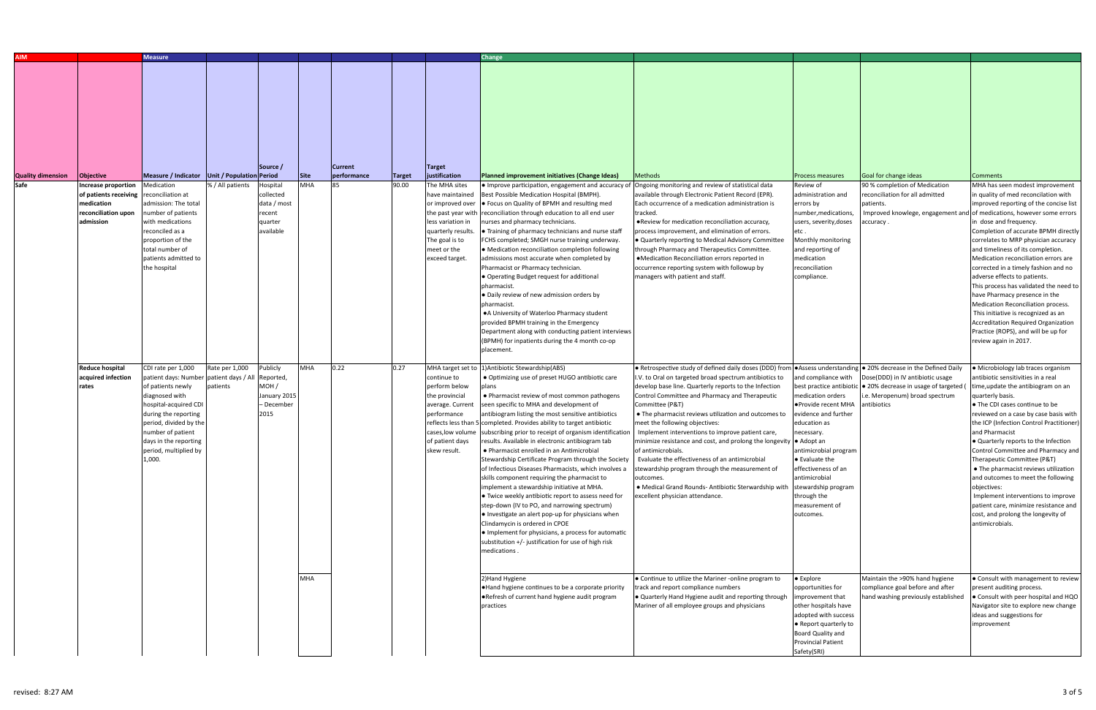| <b>AIM</b>                       |                                                                                           | <b>Measure</b>                                                                                                                                                                                                                                                   |                            |                                                                      |                    |                               |                        |                                                                                                                                                                                     | Change                                                                                                                                                                                                                                                                                                                                                                                                                                                                                                                                                                                                                                                                                                                                                                                                                                                                                                                                                                                        |                                                                                                                                                                                                                                                                                                                                                                                                                                                                                                                                                                                                                                                                                                               |                                                                                                                                                                                                                                                                                                                                             |                                                                                                                                                                  |                                                                                                                                                                                                                                                                                                                                                                                                                                                                                                                                                                                                                                                                                       |
|----------------------------------|-------------------------------------------------------------------------------------------|------------------------------------------------------------------------------------------------------------------------------------------------------------------------------------------------------------------------------------------------------------------|----------------------------|----------------------------------------------------------------------|--------------------|-------------------------------|------------------------|-------------------------------------------------------------------------------------------------------------------------------------------------------------------------------------|-----------------------------------------------------------------------------------------------------------------------------------------------------------------------------------------------------------------------------------------------------------------------------------------------------------------------------------------------------------------------------------------------------------------------------------------------------------------------------------------------------------------------------------------------------------------------------------------------------------------------------------------------------------------------------------------------------------------------------------------------------------------------------------------------------------------------------------------------------------------------------------------------------------------------------------------------------------------------------------------------|---------------------------------------------------------------------------------------------------------------------------------------------------------------------------------------------------------------------------------------------------------------------------------------------------------------------------------------------------------------------------------------------------------------------------------------------------------------------------------------------------------------------------------------------------------------------------------------------------------------------------------------------------------------------------------------------------------------|---------------------------------------------------------------------------------------------------------------------------------------------------------------------------------------------------------------------------------------------------------------------------------------------------------------------------------------------|------------------------------------------------------------------------------------------------------------------------------------------------------------------|---------------------------------------------------------------------------------------------------------------------------------------------------------------------------------------------------------------------------------------------------------------------------------------------------------------------------------------------------------------------------------------------------------------------------------------------------------------------------------------------------------------------------------------------------------------------------------------------------------------------------------------------------------------------------------------|
| <b>Quality dimension</b><br>Safe | Objective<br><b>Increase proportion</b>                                                   | Measure / Indicator Unit / Population Period<br>Medication                                                                                                                                                                                                       | % / All patients           | Source /<br>Hospital                                                 | Site<br><b>MHA</b> | <b>Current</b><br>performance | <b>Target</b><br>90.00 | <b>Target</b><br>justification<br>The MHA sites                                                                                                                                     | Planned improvement initiatives (Change Ideas)<br>• Improve participation, engagement and accuracy of                                                                                                                                                                                                                                                                                                                                                                                                                                                                                                                                                                                                                                                                                                                                                                                                                                                                                         | <b>Methods</b><br>Ongoing monitoring and review of statistical data                                                                                                                                                                                                                                                                                                                                                                                                                                                                                                                                                                                                                                           | <b>Process measures</b><br>Review of                                                                                                                                                                                                                                                                                                        | Goal for change ideas<br>90 % completion of Medication                                                                                                           | <b>Comments</b><br>MHA has seen modest improvement                                                                                                                                                                                                                                                                                                                                                                                                                                                                                                                                                                                                                                    |
|                                  | of patients receiving reconciliation at<br>nedication<br>reconciliation upon<br>admission | admission: The total<br>number of patients<br>with medications<br>reconciled as a<br>proportion of the<br>total number of<br>patients admitted to<br>the hospital                                                                                                |                            | collected<br>data / most<br>ecent<br>quarter<br>available            |                    |                               |                        | have maintained<br>or improved over<br>the past year witl<br>less variation in<br>quarterly results<br>The goal is to<br>meet or the<br>exceed target.                              | Best Possible Medication Hospital (BMPH).<br>• Focus on Quality of BPMH and resulting med<br>reconciliation through education to all end user<br>nurses and pharmacy technicians.<br>• Training of pharmacy technicians and nurse staff<br>FCHS completed; SMGH nurse training underway.<br>• Medication reconciliation completion following<br>admissions most accurate when completed by<br>Pharmacist or Pharmacy technician.<br>• Operating Budget request for additional<br>pharmacist.<br>· Daily review of new admission orders by<br>pharmacist<br>• A University of Waterloo Pharmacy student<br>provided BPMH training in the Emergency<br>Department along with conducting patient interviews<br>(BPMH) for inpatients during the 4 month co-op<br>placement.                                                                                                                                                                                                                      | available through Electronic Patient Record (EPR).<br>Each occurrence of a medication administration is<br>tracked.<br>• Review for medication reconciliation accuracy,<br>process improvement, and elimination of errors.<br>$\bullet$ Quarterly reporting to Medical Advisory Committee<br>through Pharmacy and Therapeutics Committee.<br>•Medication Reconciliation errors reported in<br>occurrence reporting system with followup by<br>managers with patient and staff.                                                                                                                                                                                                                                | administration and<br>errors by<br>number, medications,<br>users, severity, doses<br>etc .<br>Monthly monitoring<br>and reporting of<br>medication<br>reconciliation<br>compliance.                                                                                                                                                         | reconciliation for all admitted<br>patients.<br>accuracy .                                                                                                       | in quality of med reconcilation with<br>improved reporting of the concise list<br>Improved knowlege, engagement and of medications, however some errors<br>in dose and frequency.<br>Completion of accurate BPMH directly<br>correlates to MRP physician accuracy<br>and timeliness of its completion.<br>Medication reconciliation errors are<br>corrected in a timely fashion and no<br>adverse effects to patients.<br>This process has validated the need to<br>have Pharmacy presence in the<br>Medication Reconciliation process.<br>This initiative is recognized as an<br>Accreditation Required Organization<br>Practice (ROPS), and will be up for<br>review again in 2017. |
|                                  | <b>Reduce hospital</b><br>acquired infection<br>rates                                     | CDI rate per 1,000<br>patient days: Number patient days / All<br>of patients newly<br>diagnosed with<br>hospital-acquired CDI<br>during the reporting<br>period, divided by the<br>number of patient<br>days in the reporting<br>period, multiplied by<br>1,000. | Rate per 1,000<br>patients | Publicly<br>Reported,<br>мон /<br>January 2015<br>- December<br>2015 | <b>MHA</b>         | 0.22                          | 0.27                   | MHA target set to<br>continue to<br>perform below<br>the provincial<br>average. Current<br>performance<br>reflects less than<br>cases,low volume<br>of patient days<br>skew result. | 1) Antibiotic Stewardship(ABS)<br>• Optimizing use of preset HUGO antibiotic care<br>• Pharmacist review of most common pathogens<br>seen specific to MHA and development of<br>antibiogram listing the most sensitive antibiotics<br>5 completed. Provides ability to target antibiotic<br>subscribing prior to receipt of organism identification<br>results. Available in electronic antibiogram tab<br>• Pharmacist enrolled in an Antimicrobial<br>Stewardship Certificate Program through the Society<br>of Infectious Diseases Pharmacists, which involves a<br>skills component requiring the pharmacist to<br>implement a stewardship initiative at MHA.<br>• Twice weekly antibiotic report to assess need for<br>step-down (IV to PO, and narrowing spectrum)<br>. Investigate an alert pop-up for physicians when<br>Clindamycin is ordered in CPOE<br>• Implement for physicians, a process for automatic<br>substitution +/- justification for use of high risk<br>medications. | . Retrospective study of defined daily doses (DDD) from<br>I.V. to Oral on targeted broad spectrum antibiotics to<br>develop base line. Quarterly reports to the Infection<br>Control Committee and Pharmacy and Therapeutic<br>Committee (P&T)<br>• The pharmacist reviews utilization and outcomes to<br>meet the following objectives:<br>Implement interventions to improve patient care,<br>minimize resistance and cost, and prolong the longevity $\bullet$ Adopt an<br>of antimicrobials.<br>Evaluate the effectiveness of an antimicrobial<br>stewardship program through the measurement of<br>outcomes.<br>· Medical Grand Rounds- Antibiotic Sterwardship with<br>excellent physician attendance. | • Assess understanding<br>and compliance with<br>best practice antibiotic<br>medication orders<br>●Provide recent MHA<br>evidence and further<br>education as<br>necessary.<br>antimicrobial program<br>$\bullet$ Evaluate the<br>effectiveness of an<br>antimicrobial<br>stewardship program<br>through the<br>measurement of<br>outcomes. | • 20% decrease in the Defined Daily<br>Dose(DDD) in IV antibiotic usage<br>· 20% decrease in usage of targeted (<br>.e. Meropenum) broad spectrum<br>antibiotics | · Microbiology lab traces organism<br>antibiotic sensitivities in a real<br>time, update the antibiogram on an<br>quarterly basis.<br>• The CDI cases continue to be<br>reviewed on a case by case basis with<br>the ICP (Infection Control Practitioner)<br>and Pharmacist<br>• Quarterly reports to the Infection<br>Control Committee and Pharmacy and<br>Therapeutic Committee (P&T)<br>• The pharmacist reviews utilization<br>and outcomes to meet the following<br>objectives:<br>Implement interventions to improve<br>patient care, minimize resistance and<br>cost, and prolong the longevity of<br>antimicrobials.                                                         |
|                                  |                                                                                           |                                                                                                                                                                                                                                                                  |                            |                                                                      | <b>MHA</b>         |                               |                        |                                                                                                                                                                                     | 2) Hand Hygiene<br>. Hand hygiene continues to be a corporate priority<br>. Refresh of current hand hygiene audit program<br>practices                                                                                                                                                                                                                                                                                                                                                                                                                                                                                                                                                                                                                                                                                                                                                                                                                                                        | • Continue to utilize the Mariner -online program to<br>track and report compliance numbers<br>. Quarterly Hand Hygiene audit and reporting through<br>Mariner of all employee groups and physicians                                                                                                                                                                                                                                                                                                                                                                                                                                                                                                          | • Explore<br>opportunities for<br>improvement that<br>other hospitals have<br>adopted with success<br>• Report quarterly to<br>Board Quality and<br><b>Provincial Patient</b><br>Safety(SRI)                                                                                                                                                | Maintain the >90% hand hygiene<br>compliance goal before and after<br>hand washing previously established                                                        | • Consult with management to review<br>present auditing process.<br>• Consult with peer hospital and HQO<br>Navigator site to explore new change<br>ideas and suggestions for<br>improvement                                                                                                                                                                                                                                                                                                                                                                                                                                                                                          |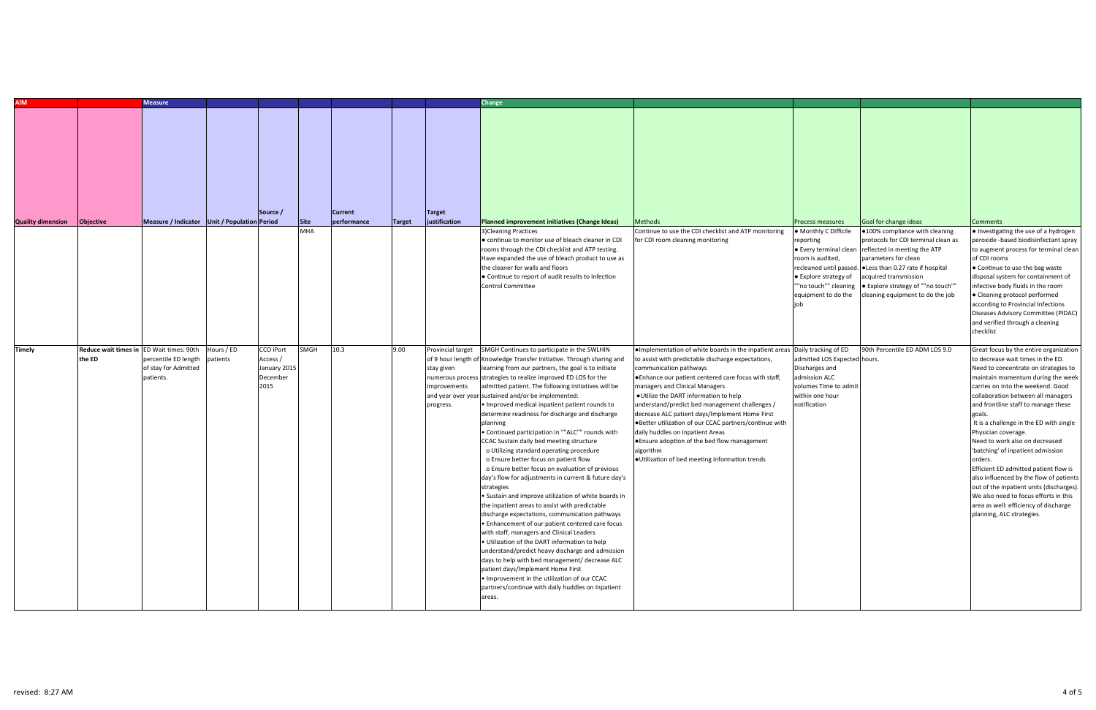| <b>AIM</b>               |                                          | <b>Measure</b>                                                     |            |                                              |                    |                               |               |                                         | Change                                                                                                                                                                                                                                                                                                                                                                                                                                                                                                                                                                                                                                                                                                                                                                                                                                                                                                                                                                                                                                                                                                                                                                                                                                                                                                               |                                                                                                                                                                                                                                                                                                                                                                                                                                                                                                                                      |                                                                                                                             |                                                                                                                                                                                                                                                                                  |                                                                                                                                                                                                                                                                                                                                                                                                                                                                                                                                                                                                                                     |
|--------------------------|------------------------------------------|--------------------------------------------------------------------|------------|----------------------------------------------|--------------------|-------------------------------|---------------|-----------------------------------------|----------------------------------------------------------------------------------------------------------------------------------------------------------------------------------------------------------------------------------------------------------------------------------------------------------------------------------------------------------------------------------------------------------------------------------------------------------------------------------------------------------------------------------------------------------------------------------------------------------------------------------------------------------------------------------------------------------------------------------------------------------------------------------------------------------------------------------------------------------------------------------------------------------------------------------------------------------------------------------------------------------------------------------------------------------------------------------------------------------------------------------------------------------------------------------------------------------------------------------------------------------------------------------------------------------------------|--------------------------------------------------------------------------------------------------------------------------------------------------------------------------------------------------------------------------------------------------------------------------------------------------------------------------------------------------------------------------------------------------------------------------------------------------------------------------------------------------------------------------------------|-----------------------------------------------------------------------------------------------------------------------------|----------------------------------------------------------------------------------------------------------------------------------------------------------------------------------------------------------------------------------------------------------------------------------|-------------------------------------------------------------------------------------------------------------------------------------------------------------------------------------------------------------------------------------------------------------------------------------------------------------------------------------------------------------------------------------------------------------------------------------------------------------------------------------------------------------------------------------------------------------------------------------------------------------------------------------|
|                          |                                          |                                                                    |            |                                              |                    |                               |               |                                         |                                                                                                                                                                                                                                                                                                                                                                                                                                                                                                                                                                                                                                                                                                                                                                                                                                                                                                                                                                                                                                                                                                                                                                                                                                                                                                                      |                                                                                                                                                                                                                                                                                                                                                                                                                                                                                                                                      |                                                                                                                             |                                                                                                                                                                                                                                                                                  |                                                                                                                                                                                                                                                                                                                                                                                                                                                                                                                                                                                                                                     |
|                          |                                          | Measure / Indicator Unit / Population Period                       |            | Source /                                     |                    | <b>Current</b><br>performance |               | <b>Target</b><br>justification          | Planned improvement initiatives (Change Ideas)                                                                                                                                                                                                                                                                                                                                                                                                                                                                                                                                                                                                                                                                                                                                                                                                                                                                                                                                                                                                                                                                                                                                                                                                                                                                       |                                                                                                                                                                                                                                                                                                                                                                                                                                                                                                                                      |                                                                                                                             |                                                                                                                                                                                                                                                                                  |                                                                                                                                                                                                                                                                                                                                                                                                                                                                                                                                                                                                                                     |
| <b>Quality dimension</b> | Objective                                |                                                                    |            |                                              | Site<br><b>MHA</b> |                               | <b>Target</b> |                                         | 3)Cleaning Practices                                                                                                                                                                                                                                                                                                                                                                                                                                                                                                                                                                                                                                                                                                                                                                                                                                                                                                                                                                                                                                                                                                                                                                                                                                                                                                 | <b>Methods</b><br>Continue to use the CDI checklist and ATP monitoring                                                                                                                                                                                                                                                                                                                                                                                                                                                               | <b>Process measures</b><br>• Monthly C Difficile                                                                            | Goal for change ideas<br>.100% compliance with cleaning                                                                                                                                                                                                                          | <b>Comments</b><br>• Investigating the use of a hydrogen                                                                                                                                                                                                                                                                                                                                                                                                                                                                                                                                                                            |
|                          |                                          |                                                                    |            |                                              |                    |                               |               |                                         | • continue to monitor use of bleach cleaner in CDI<br>rooms through the CDI checklist and ATP testing.<br>Have expanded the use of bleach product to use as<br>the cleaner for walls and floors<br>• Continue to report of audit results to Infection<br>Control Committee                                                                                                                                                                                                                                                                                                                                                                                                                                                                                                                                                                                                                                                                                                                                                                                                                                                                                                                                                                                                                                           | or CDI room cleaning monitoring                                                                                                                                                                                                                                                                                                                                                                                                                                                                                                      | reporting<br>room is audited,<br>• Explore strategy of<br>""no touch"" cleaning<br>equipment to do the                      | protocols for CDI terminal clean as<br>• Every terminal clean reflected in meeting the ATP<br>parameters for clean<br>recleaned until passed. Less than 0.27 rate if hospital<br>acquired transmission<br>• Explore strategy of ""no touch""<br>cleaning equipment to do the job | peroxide -based biodisinfectant spray<br>to augment process for terminal clean<br>of CDI rooms<br>• Continue to use the bag waste<br>disposal system for containment of<br>infective body fluids in the room<br>• Cleaning protocol performed<br>according to Provincial Infections<br>Diseases Advisory Committee (PIDAC)<br>and verified through a cleaning<br>checklist                                                                                                                                                                                                                                                          |
| <b>Timely</b>            | Reduce wait times in ED Wait times: 90th |                                                                    | Hours / ED | <b>CCO iPort</b>                             | SMGH               | 10.3                          | 9.00          | Provincial target                       | SMGH Continues to participate in the SWLHIN                                                                                                                                                                                                                                                                                                                                                                                                                                                                                                                                                                                                                                                                                                                                                                                                                                                                                                                                                                                                                                                                                                                                                                                                                                                                          | . Implementation of white boards in the inpatient areas Daily tracking of ED                                                                                                                                                                                                                                                                                                                                                                                                                                                         |                                                                                                                             | 90th Percentile ED ADM LOS 9.0                                                                                                                                                                                                                                                   | Great focus by the entire organization                                                                                                                                                                                                                                                                                                                                                                                                                                                                                                                                                                                              |
|                          | the ED                                   | percentile ED length patients<br>of stay for Admitted<br>patients. |            | Access /<br>January 2015<br>December<br>2015 |                    |                               |               | stay given<br>improvements<br>progress. | of 9 hour length of Knowledge Transfer Initiative. Through sharing and<br>learning from our partners, the goal is to initiate<br>numerous process strategies to realize improved ED LOS for the<br>admitted patient. The following initiatives will be<br>and year over year sustained and/or be implemented:<br>• Improved medical inpatient patient rounds to<br>determine readiness for discharge and discharge<br>planning<br>. Continued participation in ""ALC"" rounds with<br>CCAC Sustain daily bed meeting structure<br>o Utilizing standard operating procedure<br>o Ensure better focus on patient flow<br>o Ensure better focus on evaluation of previous<br>day's flow for adjustments in current & future day's<br>strategies<br>• Sustain and improve utilization of white boards in<br>the inpatient areas to assist with predictable<br>discharge expectations, communication pathways<br>• Enhancement of our patient centered care focus<br>with staff, managers and Clinical Leaders<br>. Utilization of the DART information to help<br>understand/predict heavy discharge and admission<br>days to help with bed management/ decrease ALC<br>patient days/Implement Home First<br>. Improvement in the utilization of our CCAC<br>partners/continue with daily huddles on Inpatient<br>areas. | to assist with predictable discharge expectations,<br>communication pathways<br>• Enhance our patient centered care focus with staff,<br>managers and Clinical Managers<br>. Utilize the DART information to help<br>understand/predict bed management challenges /<br>decrease ALC patient days/Implement Home First<br>● Better utilization of our CCAC partners/continue with<br>daily huddles on Inpatient Areas<br>● Ensure adoption of the bed flow management<br>algorithm<br>. Utilization of bed meeting information trends | admitted LOS Expected hours.<br>Discharges and<br>admission ALC<br>volumes Time to admit<br>within one hour<br>notification |                                                                                                                                                                                                                                                                                  | to decrease wait times in the ED.<br>Need to concentrate on strategies to<br>maintain momentum during the week<br>carries on into the weekend. Good<br>collaboration between all managers<br>and frontline staff to manage these<br>It is a challenge in the ED with single<br>Physician coverage.<br>Need to work also on decreased<br>'batching' of inpatient admission<br>orders.<br>Efficient ED admitted patient flow is<br>also influenced by the flow of patients<br>out of the inpatient units (discharges).<br>We also need to focus efforts in this<br>area as well: efficiency of discharge<br>planning, ALC strategies. |